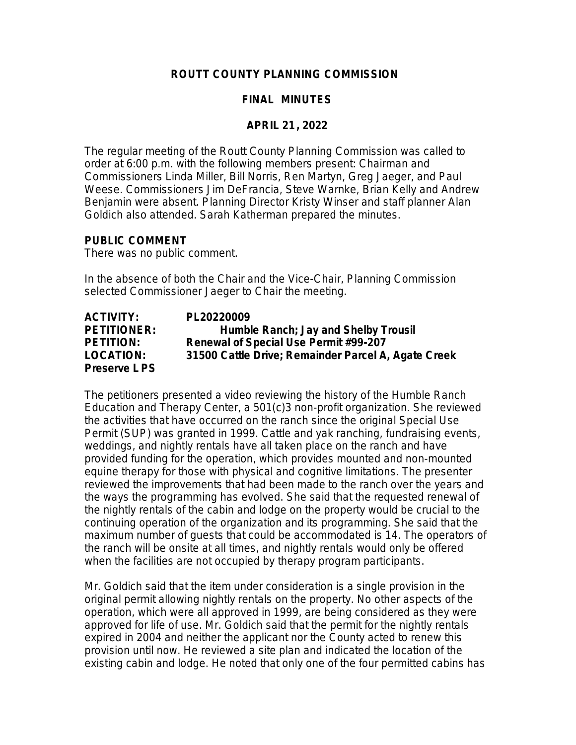## **ROUTT COUNTY PLANNING COMMISSION**

## **FINAL MINUTES**

#### **APRIL 21, 2022**

The regular meeting of the Routt County Planning Commission was called to order at 6:00 p.m. with the following members present: Chairman and Commissioners Linda Miller, Bill Norris, Ren Martyn, Greg Jaeger, and Paul Weese. Commissioners Jim DeFrancia, Steve Warnke, Brian Kelly and Andrew Benjamin were absent. Planning Director Kristy Winser and staff planner Alan Goldich also attended. Sarah Katherman prepared the minutes.

#### **PUBLIC COMMENT**

There was no public comment.

In the absence of both the Chair and the Vice-Chair, Planning Commission selected Commissioner Jaeger to Chair the meeting.

| <b>ACTIVITY:</b>   | PL20220009                                          |
|--------------------|-----------------------------------------------------|
| <b>PETITIONER:</b> | Humble Ranch; Jay and Shelby Trousil                |
| <b>PETITION:</b>   | Renewal of Special Use Permit #99-207               |
| <b>LOCATION:</b>   | 31500 Cattle Drive; Remainder Parcel A, Agate Creek |
| Preserve LPS       |                                                     |

The petitioners presented a video reviewing the history of the Humble Ranch Education and Therapy Center, a 501(c)3 non-profit organization. She reviewed the activities that have occurred on the ranch since the original Special Use Permit (SUP) was granted in 1999. Cattle and yak ranching, fundraising events, weddings, and nightly rentals have all taken place on the ranch and have provided funding for the operation, which provides mounted and non-mounted equine therapy for those with physical and cognitive limitations. The presenter reviewed the improvements that had been made to the ranch over the years and the ways the programming has evolved. She said that the requested renewal of the nightly rentals of the cabin and lodge on the property would be crucial to the continuing operation of the organization and its programming. She said that the maximum number of guests that could be accommodated is 14. The operators of the ranch will be onsite at all times, and nightly rentals would only be offered when the facilities are not occupied by therapy program participants.

Mr. Goldich said that the item under consideration is a single provision in the original permit allowing nightly rentals on the property. No other aspects of the operation, which were all approved in 1999, are being considered as they were approved for life of use. Mr. Goldich said that the permit for the nightly rentals expired in 2004 and neither the applicant nor the County acted to renew this provision until now. He reviewed a site plan and indicated the location of the existing cabin and lodge. He noted that only one of the four permitted cabins has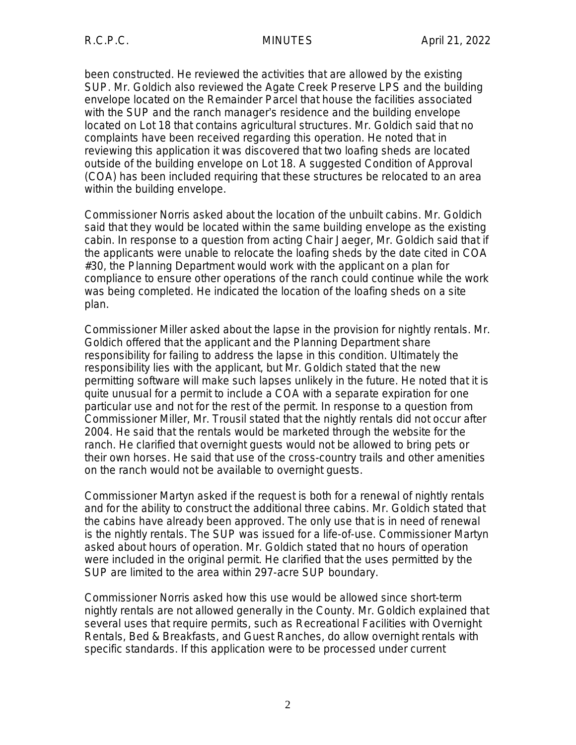been constructed. He reviewed the activities that are allowed by the existing SUP. Mr. Goldich also reviewed the Agate Creek Preserve LPS and the building envelope located on the Remainder Parcel that house the facilities associated with the SUP and the ranch manager's residence and the building envelope located on Lot 18 that contains agricultural structures. Mr. Goldich said that no complaints have been received regarding this operation. He noted that in reviewing this application it was discovered that two loafing sheds are located outside of the building envelope on Lot 18. A suggested Condition of Approval (COA) has been included requiring that these structures be relocated to an area within the building envelope.

Commissioner Norris asked about the location of the unbuilt cabins. Mr. Goldich said that they would be located within the same building envelope as the existing cabin. In response to a question from acting Chair Jaeger, Mr. Goldich said that if the applicants were unable to relocate the loafing sheds by the date cited in COA #30, the Planning Department would work with the applicant on a plan for compliance to ensure other operations of the ranch could continue while the work was being completed. He indicated the location of the loafing sheds on a site plan.

Commissioner Miller asked about the lapse in the provision for nightly rentals. Mr. Goldich offered that the applicant and the Planning Department share responsibility for failing to address the lapse in this condition. Ultimately the responsibility lies with the applicant, but Mr. Goldich stated that the new permitting software will make such lapses unlikely in the future. He noted that it is quite unusual for a permit to include a COA with a separate expiration for one particular use and not for the rest of the permit. In response to a question from Commissioner Miller, Mr. Trousil stated that the nightly rentals did not occur after 2004. He said that the rentals would be marketed through the website for the ranch. He clarified that overnight guests would not be allowed to bring pets or their own horses. He said that use of the cross-country trails and other amenities on the ranch would not be available to overnight guests.

Commissioner Martyn asked if the request is both for a renewal of nightly rentals and for the ability to construct the additional three cabins. Mr. Goldich stated that the cabins have already been approved. The only use that is in need of renewal is the nightly rentals. The SUP was issued for a life-of-use. Commissioner Martyn asked about hours of operation. Mr. Goldich stated that no hours of operation were included in the original permit. He clarified that the uses permitted by the SUP are limited to the area within 297-acre SUP boundary.

Commissioner Norris asked how this use would be allowed since short-term nightly rentals are not allowed generally in the County. Mr. Goldich explained that several uses that require permits, such as Recreational Facilities with Overnight Rentals, Bed & Breakfasts, and Guest Ranches, do allow overnight rentals with specific standards. If this application were to be processed under current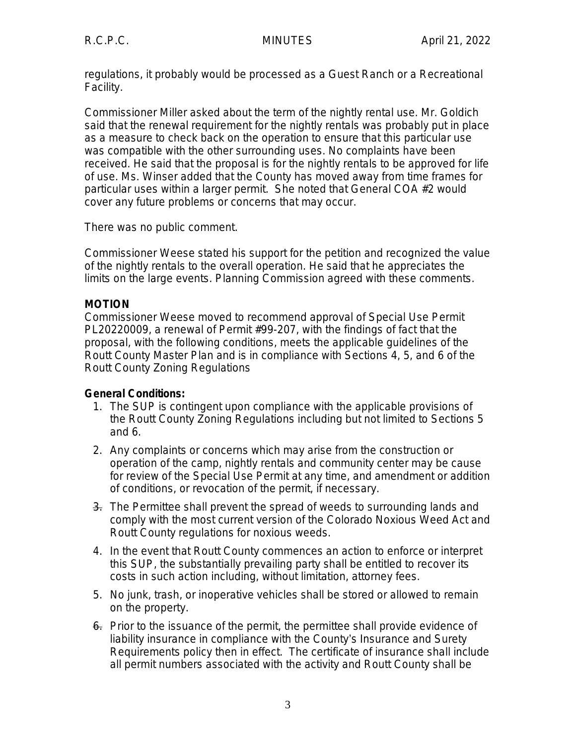regulations, it probably would be processed as a Guest Ranch or a Recreational Facility.

Commissioner Miller asked about the term of the nightly rental use. Mr. Goldich said that the renewal requirement for the nightly rentals was probably put in place as a measure to check back on the operation to ensure that this particular use was compatible with the other surrounding uses. No complaints have been received. He said that the proposal is for the nightly rentals to be approved for life of use. Ms. Winser added that the County has moved away from time frames for particular uses within a larger permit. She noted that General COA #2 would cover any future problems or concerns that may occur.

There was no public comment.

Commissioner Weese stated his support for the petition and recognized the value of the nightly rentals to the overall operation. He said that he appreciates the limits on the large events. Planning Commission agreed with these comments.

## **MOTION**

Commissioner Weese moved to recommend approval of Special Use Permit PL20220009, a renewal of Permit #99-207, with the findings of fact that the proposal, with the following conditions, meets the applicable guidelines of the Routt County Master Plan and is in compliance with Sections 4, 5, and 6 of the Routt County Zoning Regulations

# **General Conditions:**

- 1. The SUP is contingent upon compliance with the applicable provisions of the Routt County Zoning Regulations including but not limited to Sections 5 and 6.
- 2. Any complaints or concerns which may arise from the construction or operation of the camp, nightly rentals and community center may be cause for review of the Special Use Permit at any time, and amendment or addition of conditions, or revocation of the permit, if necessary.
- 3. The Permittee shall prevent the spread of weeds to surrounding lands and comply with the most current version of the Colorado Noxious Weed Act and Routt County regulations for noxious weeds.
- 4. In the event that Routt County commences an action to enforce or interpret this SUP, the substantially prevailing party shall be entitled to recover its costs in such action including, without limitation, attorney fees.
- 5. No junk, trash, or inoperative vehicles shall be stored or allowed to remain on the property.
- 6. Prior to the issuance of the permit, the permittee shall provide evidence of liability insurance in compliance with the County's Insurance and Surety Requirements policy then in effect. The certificate of insurance shall include all permit numbers associated with the activity and Routt County shall be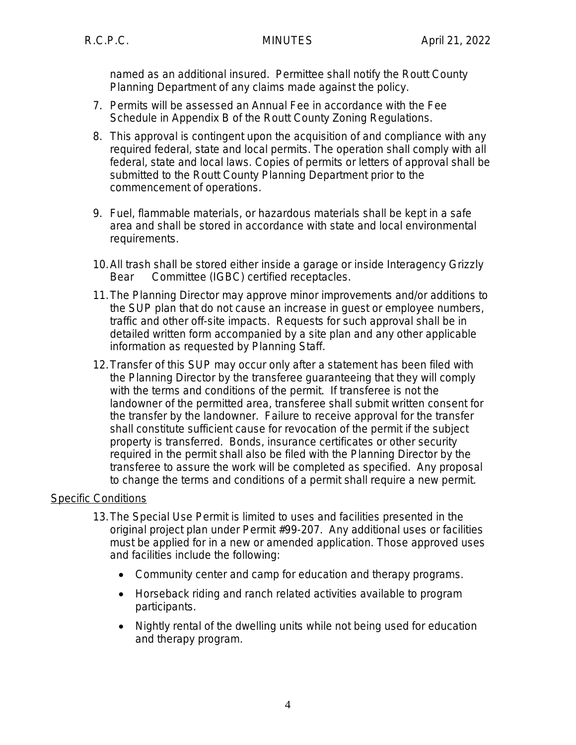named as an additional insured. Permittee shall notify the Routt County Planning Department of any claims made against the policy.

- 7. Permits will be assessed an Annual Fee in accordance with the Fee Schedule in Appendix B of the Routt County Zoning Regulations.
- 8. This approval is contingent upon the acquisition of and compliance with any required federal, state and local permits. The operation shall comply with all federal, state and local laws. Copies of permits or letters of approval shall be submitted to the Routt County Planning Department prior to the commencement of operations.
- 9. Fuel, flammable materials, or hazardous materials shall be kept in a safe area and shall be stored in accordance with state and local environmental requirements.
- 10.All trash shall be stored either inside a garage or inside Interagency Grizzly Bear Committee (IGBC) certified receptacles.
- 11.The Planning Director may approve minor improvements and/or additions to the SUP plan that do not cause an increase in guest or employee numbers, traffic and other off-site impacts. Requests for such approval shall be in detailed written form accompanied by a site plan and any other applicable information as requested by Planning Staff.
- 12.Transfer of this SUP may occur only after a statement has been filed with the Planning Director by the transferee guaranteeing that they will comply with the terms and conditions of the permit. If transferee is not the landowner of the permitted area, transferee shall submit written consent for the transfer by the landowner. Failure to receive approval for the transfer shall constitute sufficient cause for revocation of the permit if the subject property is transferred. Bonds, insurance certificates or other security required in the permit shall also be filed with the Planning Director by the transferee to assure the work will be completed as specified. Any proposal to change the terms and conditions of a permit shall require a new permit.

# Specific Conditions

- 13.The Special Use Permit is limited to uses and facilities presented in the original project plan under Permit #99-207. Any additional uses or facilities must be applied for in a new or amended application. Those approved uses and facilities include the following:
	- Community center and camp for education and therapy programs.
	- Horseback riding and ranch related activities available to program participants.
	- Nightly rental of the dwelling units while not being used for education and therapy program.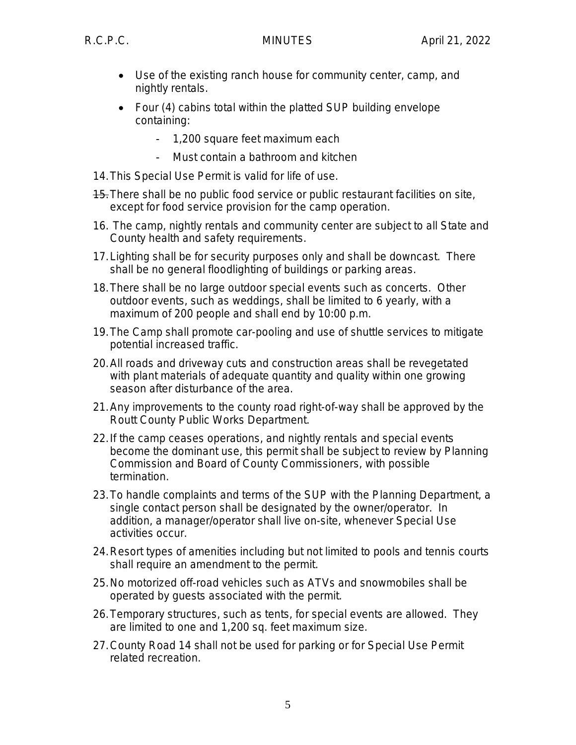- Use of the existing ranch house for community center, camp, and nightly rentals.
- Four (4) cabins total within the platted SUP building envelope containing:
	- 1,200 square feet maximum each
	- Must contain a bathroom and kitchen
- 14.This Special Use Permit is valid for life of use.
- 15.There shall be no public food service or public restaurant facilities on site, except for food service provision for the camp operation.
- 16. The camp, nightly rentals and community center are subject to all State and County health and safety requirements.
- 17.Lighting shall be for security purposes only and shall be downcast. There shall be no general floodlighting of buildings or parking areas.
- 18.There shall be no large outdoor special events such as concerts. Other outdoor events, such as weddings, shall be limited to 6 yearly, with a maximum of 200 people and shall end by 10:00 p.m.
- 19.The Camp shall promote car-pooling and use of shuttle services to mitigate potential increased traffic.
- 20.All roads and driveway cuts and construction areas shall be revegetated with plant materials of adequate quantity and quality within one growing season after disturbance of the area.
- 21.Any improvements to the county road right-of-way shall be approved by the Routt County Public Works Department.
- 22.If the camp ceases operations, and nightly rentals and special events become the dominant use, this permit shall be subject to review by Planning Commission and Board of County Commissioners, with possible termination.
- 23.To handle complaints and terms of the SUP with the Planning Department, a single contact person shall be designated by the owner/operator. In addition, a manager/operator shall live on-site, whenever Special Use activities occur.
- 24.Resort types of amenities including but not limited to pools and tennis courts shall require an amendment to the permit.
- 25.No motorized off-road vehicles such as ATVs and snowmobiles shall be operated by guests associated with the permit.
- 26.Temporary structures, such as tents, for special events are allowed. They are limited to one and 1,200 sq. feet maximum size.
- 27.County Road 14 shall not be used for parking or for Special Use Permit related recreation.